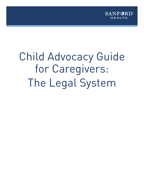

# Child Advocacy Guide for Caregivers: The Legal System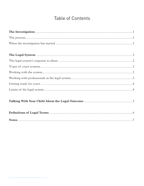# Table of Contents

|--|--|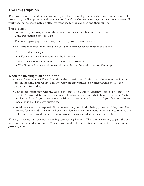# The Investigation

The investigation of child abuse will take place by a team of professionals. Law enforcement, child protection, medical professionals, counselors, State's or County Attorneys, and victim advocates all work together to coordinate an effective response for the children and their family.

## The process

- Someone reports suspicion of abuse to authorities, either law enforcement or Child Protection Services (CPS).
- The investigating agency investigates the reports of possible abuse.
- The child may then be referred to a child advocacy center for further evaluation.
- At the child advocacy center:
	- o A Forensic Interviewer conducts the interview
	- o A medical exam is conducted by the medical provider
	- o The Family Advocate will meet with you during the evaluation to offer support

## When the investigation has started:

- Law enforcement or CPS will continue the investigation. This may include interviewing the person the child first reported to, interviewing any witnesses, or interviewing the alleged perpetrator (offender).
- Law enforcement may refer the case to the State's or County Attorney's office. The State's or County Attorney determines if charges will be brought up and what charges to pursue. Victim's Services will notify you as soon as a decision has been made. You can call your Victim Witness Specialist if you have any questions.
- Social Services has a responsibility to make sure your child is being protected. They can offer services for you and your family. Social Services or law enforcement do not want to remove the child from your care if you are able to provide the care needed to raise your child.

The legal process may be slow in moving towards legal action. The team is working to gain the best outcome for you and your family. You and your child's healing often occur outside of the criminal justice system.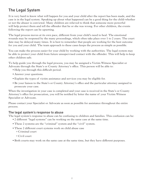# The Legal System

It is very hard to know what will happen for you and your child after the report has been made, and the case is in the legal system. Speaking up about what happened can be a good thing for the child-whether or not the abuser is convicted. Many children are relieved to think that someone more powerful will help protect them and tell the offender that he or she was wrong. For other children, the events following the report can be upsetting.

The legal process moves at its own pace, different from your child's need to heal. The emotional wounds may be reopened by the many proceedings, which often take place over 1 to 2 years. The court date may be delayed many times. It is best to remember that people are working for the best outcome for you and your child. The team approach to these cases keeps the process as simple as possible.

You can make the process easier for your child by working with the authorities. The legal system may be able to protect your child from future unsupervised contact with the offender. This will help to keep other children safe.

To help guide you through the legal process, you may be assigned a Victim Witness Specialist or Advocate through the State's or County Attorney's office. This person will be able to:

- Help you through this difficult period.
- Answer your questions.
- Explain the types of victim assistance and services you may be eligible for.
- Be your liaison to the State's or County Attorney's office and the particular attorney assigned to prosecute your case.

When the investigation in your case is completed and your case is received in the State's or County Attorney's office for prosecution, you will be notified by letter the name of your Victim Witness Specialist or Advocate.

Please contact your Specialist or Advocate as soon as possible for assistance throughout the entire process.

#### The legal system's response to abuse

The legal system's response to abuse can be confusing to children and families. This confusion can be:

- 2 different "legal systems" can be working on the same case at the same time.
- These 2 systems are the "criminal" system and the "civil" system.
- These 2 different court systems work on child abuse case
	- o Criminal court
	- o Civil court
- Both courts may work on the same case at the same time, but they have different purposes.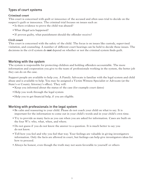## Types of court systems

#### **Criminal court**

This court is concerned with guilt or innocence of the accused and often uses trial to decide on the suspect's guilt or innocence. The criminal trial focuses on issues such as:

- Is there evidence to prove the child was abused?
- What illegal acts happened?
- If proven guilty, what punishment should the offender receive?

#### **Civil court**

This court is concerned with the safety of the child. The focus is on issues like custody, supervised visitation, and counseling. A number of different court hearings can be held to decide these issues. The decisions in the civil system do **not** depend on whether or not the criminal system finds guilt.

#### Working with the system

The system is responsible for protecting children and holding offenders accountable. The more information and cooperation you give to the team of professionals working in the system, the better job they can do on the case.

Support people are available to help you. A Family Advocate is familiar with the legal system and child abuse and is available to help. You may be assigned a Victim Witness Specialist or Advocate (at the State's or County Attorney's office). They will:

- Keep you informed about the status of the case (for example court dates)
- Help you work through the legal system
- Help you to get financial help, if you are eligible.

## Working with professionals in the legal system

- Be calm and reassuring to your child. Please do not coach your child on what to say. It is important for the information to come out in your child's words and in your child's own time.
- Try to provide as many facts as you can when you are asked for information. Cases are built on the four W's: who, what, when, and where.
- Do not guess if you do not know the answer to a question. It is much better to say you do not know.
- Tell how you feel and why you feel that way. Your feelings are valuable in giving investigators information. Only the facts are allowed in court, but feelings can help give investigators ideas for how to proceed.
- Always be honest, even though the truth may not seem favorable to yourself or others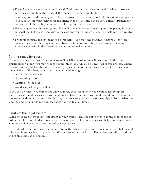- Try to keep your emotions calm. It is a difficult time and can be emotional. Losing control can hurt the case and hide the needs of the innocent victim, your child.
- Love, support, and protect your child at all costs. If the suspected offender is a significant person to you, balancing your feelings for the offender and your child can be very difficult. Remember that your child has only you to make healthy, protective decisions.
- Please cooperate with investigators. You will probably feel as if investigators are prying into your personal life, but this is necessary to the case and your child's welfare. The facts can help resolve the case.
- Try to understand the investigator's perspective. You may feel that investigators do not care because they avoid showing emotions. Investigators do care. They show caring by staying objective and calm in the face of extremely emotional situations.

## Getting ready for court

If there is to be a trial, your Victim Witness Specialist or Advocate will take your child to the courtroom for a tour (you may need to request this). You will also be involved in this process. Giving the child an early look at the courtroom and preparing him or her on what to expect. This can ease some of the child's fears, which may include the following:

- Seeing the abuser again
- Not wanting to go
- Wanting it to be over
- Wondering where you will be

If you are a witness, you will not be allowed in the courtroom when your child is testifying. In some cases, it might be easier on your child not to have you there. Your child should never be in the courtroom without a trusting, friendly face, so make sure your Victim Witness Specialist or Advocate, a best friend, or a family member stay with your child at all times.

#### Limits of the legal system

While the legal system is very important to your child's case, it is only one step in the process and is **not** needed for your child's recovery. Focusing on your child's well-being will help you manage your emotions and lessen the frustrations of the legal process.

Celebrate when the court case has ended. No matter what the outcome, conviction or not, tell the child it is over. Acknowledge that you both did your best and worked hard. Recognize your efforts and the end of this stage of the process.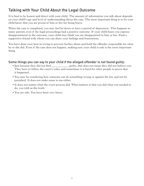# Talking with Your Child About the Legal Outcome

It is best to be honest and direct with your child. The amount of information you talk about depends on your child's age and level of understanding about the case. The most important thing is to let your child know that you are proud of him or her for being brave.

When the case is completed, you may feel let down or have a period of depression. This happens to many parents even if the legal proceedings had a positive outcome. If your child hears you express disappointment in the outcome, your child may think you are disappointed in him or her. Find a supportive friend with whom you can share your feelings and frustrations.

You have done your best in trying to prevent further abuse and hold the offender responsible for what he or she did. Even if the case does not happen, making sure your child is safe is the most important thing.

## Some things you can say to your child if the alleged offender is not found guilty:

- Just because they did not find \_\_\_\_\_\_\_\_\_\_\_\_ guilty, that does not mean they did not believe you. They have to follow the court's rules, and sometimes it is hard for other people to prove that it happened.
- You may be wondering how someone can do something wrong or against the law and not be punished. It does not make sense to me either.
- It does not matter what the court process did. What matters is that you did what you needed to do, you told us the truth.
- You are safe. You have been very brave.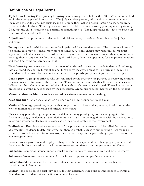# Definitions of Legal Terms

**48/72 Hour Hearing (Temporary Hearing) -** A hearing that is held within 48 to 72 hours of a child or children being placed into custody. The judge advises parents, information is presented about the reason the child came into custody, and the judge then makes a determination on the temporary custody of the children. This might mean that the child remains in custody pending investigation by CPS, that the child is returned to parents, or something else. The judge makes this decision based on what would be safest for the child.

**Adjudicated** - to pronounce or decree by judicial sentence; to settle or determine by the judge and court

**Felony** - a crime for which a person can be imprisoned for more than a year. The procedure in regard to a felony case may be considerably more prolonged. A felony charge may result in several court appearances - first a hearing in regard to the setting of bond, then an arraignment, then a preliminary hearing, then an appearance for the setting of a trial date, then the appearance for any pretrial motions, and then finally the appearance for trial

**First Court Appearance** - early in the course of a criminal proceeding, the defendant will be brought into court and the charges brought against him/her by the government will be formally read. The defendant will be asked by the court whether he or she pleads guilty or not guilty to the charges

**Grand Jury** - a group of citizens who are convened by the court for the purpose of reviewing criminal cases as presented to them by the prosecutor. They determine again whether there is probable cause to believe that the defendant committed the crime with which he or she is charged. The evidence that is presented at a grand jury is chosen by the prosecutor. Grand jurors do not hear from the defendant

**Memorandum or Memoranda** - a record or written statement of something

**Misdemeanor** - an offense for which a person can be imprisoned for up to a year

**Motions Hearing** - provides judges with an opportunity to hear oral arguments, in addition to the written motion and memoranda submitted to the court

**Plea** - at any point during the process, the defendant may plead guilty to the charge against him. Also at any stage, the defendant and his/her attorney may conduct negotiations with the prosecutor to determine whether a plea to some lesser charge may be agreeable to the government

**Preliminary Hearing** - where some or all of the prosecution witnesses will be called for the purpose of presenting evidence to determine whether there is probable cause to support the arrest made by police. If probable cause is found to exist, then the next stage in the proceeding is presentation of the case to a grand jury

**Prosecutor** - a governmental employee charged with the responsibility of bringing suspects to trial, they have absolute discretion in deciding to prosecute an offense or not to prosecute an offense

**Subpoena** - command, issued under a court's authority, to a witness to appear and give testimony

**Subpoena duces tecum** - a command to a witness to appear and produce documents

**Substantiated** - supported by proof or evidence; something that is supported or verified by corroborating information

**Verdict** - the decision of a trial jury or a judge that determines the guilt or innocence of a criminal defendant, or that determines the final outcome of a case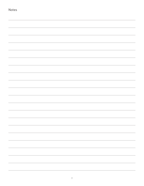| Notes |  |
|-------|--|
|       |  |
|       |  |
|       |  |
|       |  |
|       |  |
|       |  |
|       |  |
|       |  |
|       |  |
|       |  |
|       |  |
|       |  |
|       |  |
|       |  |
|       |  |
|       |  |
|       |  |
|       |  |
|       |  |
|       |  |
|       |  |
|       |  |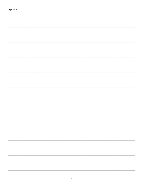| Notes |  |
|-------|--|
|       |  |
|       |  |
|       |  |
|       |  |
|       |  |
|       |  |
|       |  |
|       |  |
|       |  |
|       |  |
|       |  |
|       |  |
|       |  |
|       |  |
|       |  |
|       |  |
|       |  |
|       |  |
|       |  |
|       |  |
|       |  |
|       |  |
|       |  |